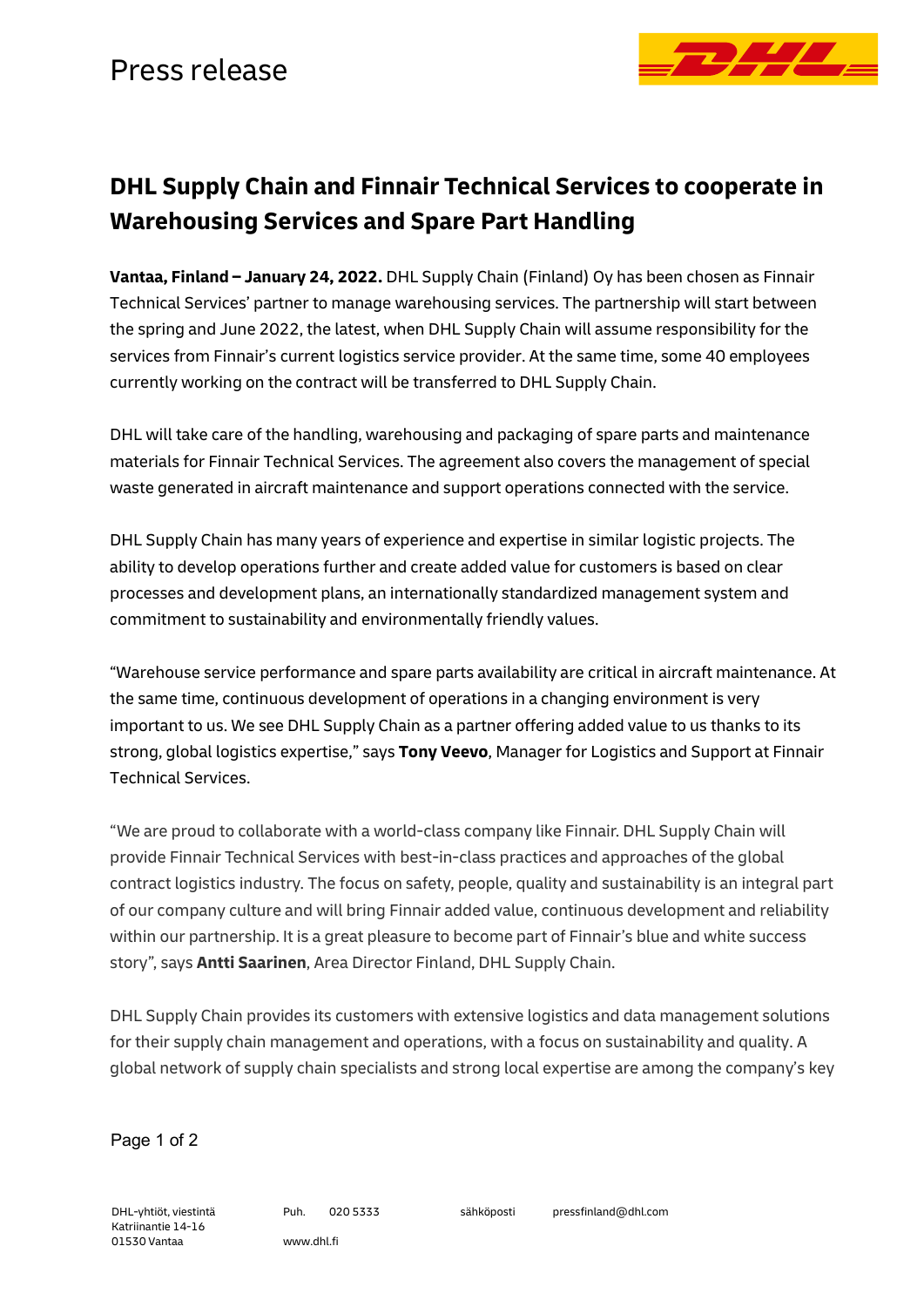

## **DHL Supply Chain and Finnair Technical Services to cooperate in Warehousing Services and Spare Part Handling**

**Vantaa, Finland – January 24, 2022.** DHL Supply Chain (Finland) Oy has been chosen as Finnair Technical Services' partner to manage warehousing services. The partnership will start between the spring and June 2022, the latest, when DHL Supply Chain will assume responsibility for the services from Finnair's current logistics service provider. At the same time, some 40 employees currently working on the contract will be transferred to DHL Supply Chain.

DHL will take care of the handling, warehousing and packaging of spare parts and maintenance materials for Finnair Technical Services. The agreement also covers the management of special waste generated in aircraft maintenance and support operations connected with the service.

DHL Supply Chain has many years of experience and expertise in similar logistic projects. The ability to develop operations further and create added value for customers is based on clear processes and development plans, an internationally standardized management system and commitment to sustainability and environmentally friendly values.

"Warehouse service performance and spare parts availability are critical in aircraft maintenance. At the same time, continuous development of operations in a changing environment is very important to us. We see DHL Supply Chain as a partner offering added value to us thanks to its strong, global logistics expertise," says **Tony Veevo**, Manager for Logistics and Support at Finnair Technical Services.

"We are proud to collaborate with a world-class company like Finnair. DHL Supply Chain will provide Finnair Technical Services with best-in-class practices and approaches of the global contract logistics industry. The focus on safety, people, quality and sustainability is an integral part of our company culture and will bring Finnair added value, continuous development and reliability within our partnership. It is a great pleasure to become part of Finnair's blue and white success story", says **Antti Saarinen**, Area Director Finland, DHL Supply Chain.

DHL Supply Chain provides its customers with extensive logistics and data management solutions for their supply chain management and operations, with a focus on sustainability and quality. A global network of supply chain specialists and strong local expertise are among the company's key

Page 1 of 2

DHL-yhtiöt, viestintä Katriinantie 14-16 01530 Vantaa

Puh. 020 5333 www.dhl.fi

sähköposti pressfinland@dhl.com